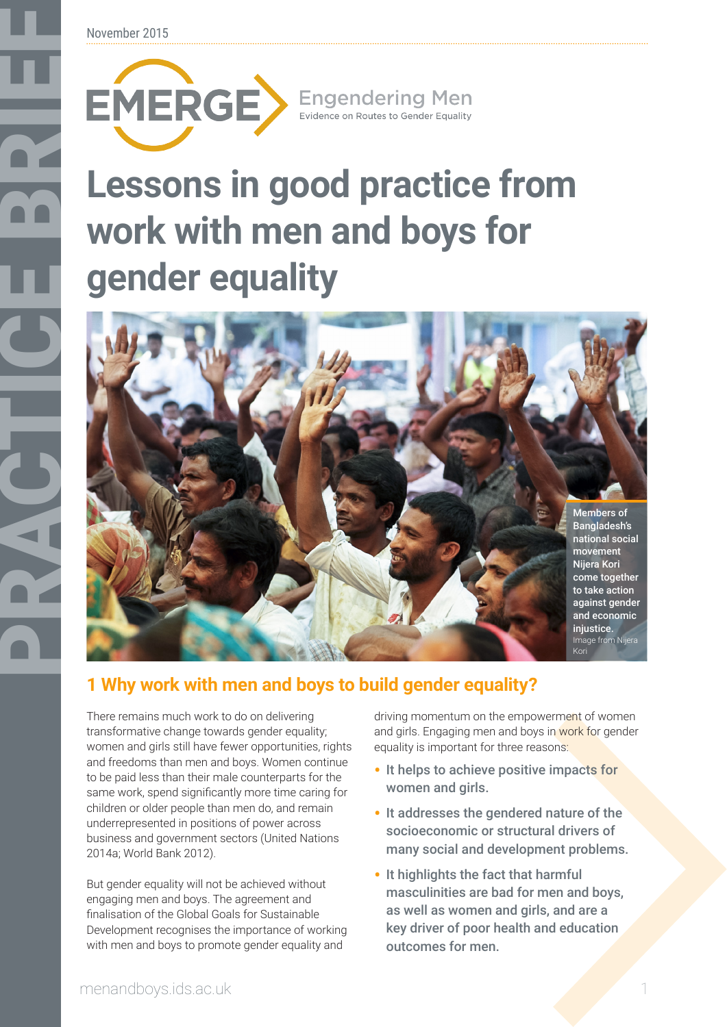November 2015

# **work with men and boys for gender equality**



# **1 Why work with men and boys to build gender equality?**

There remains much work to do on delivering transformative change towards gender equality; women and girls still have fewer opportunities, rights and freedoms than men and boys. Women continue to be paid less than their male counterparts for the same work, spend significantly more time caring for children or older people than men do, and remain underrepresented in positions of power across business and government sectors (United Nations 2014a; World Bank 2012).

But gender equality will not be achieved without engaging men and boys. The agreement and finalisation of the Global Goals for Sustainable Development recognises the importance of working with men and boys to promote gender equality and

driving momentum on the empowerment of women and girls. Engaging men and boys in work for gender equality is important for three reasons:

- It helps to achieve positive impacts for women and girls.
- It addresses the gendered nature of the socioeconomic or structural drivers of many social and development problems.
- It highlights the fact that harmful masculinities are bad for men and boys, as well as women and girls, and are a key driver of poor health and education outcomes for men.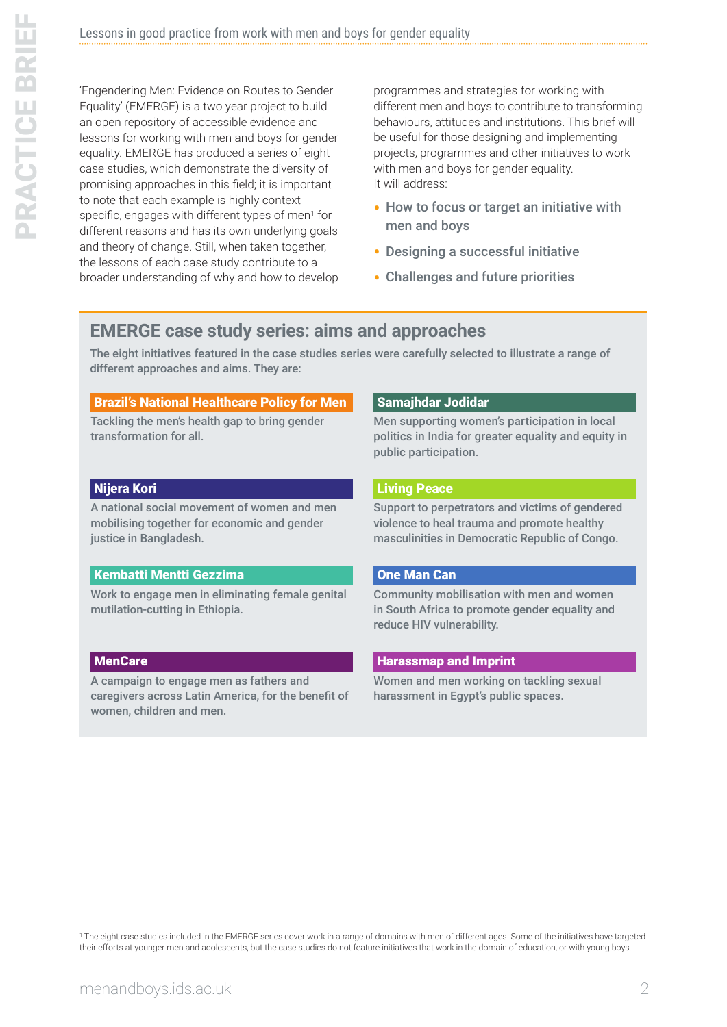'Engendering Men: Evidence on Routes to Gender Equality' (EMERGE) is a two year project to build an open repository of accessible evidence and lessons for working with men and boys for gender equality. EMERGE has produced a series of eight case studies, which demonstrate the diversity of promising approaches in this field; it is important to note that each example is highly context specific, engages with different types of men<sup>1</sup> for different reasons and has its own underlying goals and theory of change. Still, when taken together, the lessons of each case study contribute to a broader understanding of why and how to develop programmes and strategies for working with different men and boys to contribute to transforming behaviours, attitudes and institutions. This brief will be useful for those designing and implementing projects, programmes and other initiatives to work with men and boys for gender equality. It will address:

- How to focus or target an initiative with men and boys
- Designing a successful initiative
- Challenges and future priorities

## **EMERGE case study series: aims and approaches**

The eight initiatives featured in the case studies series were carefully selected to illustrate a range of different approaches and aims. They are:

#### [Brazil's National Healthcare Policy for Men](http://menandboys.ids.ac.uk/files/beyond-prostate-brazil%E2%80%99s-national-healthcare-policy-men-pnaish-emerge-case-study-1?vnc=VqMOmEkjxUNyOmi4OSttiU8vkIIHNgj-oqwEyuJRshc&vnp=0)

Tackling the men's health gap to bring gender transformation for all.

#### [Nijera Kori](http://menandboys.ids.ac.uk/files/%E2%80%98we-do-it-ourselves-nijera-kori-and-struggle-economic-and-gender-justice-bangladesh-emerge?vnc=VqMOmEkjxUNyOmi4OSttiU8vkIIHNgj-oqwEyuJRshc&vnp=1)

A national social movement of women and men mobilising together for economic and gender justice in Bangladesh.

## [Kembatti Mentti Gezzima](http://menandboys.ids.ac.uk/files/%E2%80%98one-hand-can%E2%80%99t-clap-itself%E2%80%99-engagement-boys-and-men-kmg%E2%80%99s-intervention-eliminate-fgm-c?vnc=VqMOmEkjxUNyOmi4OSttiU8vkIIHNgj-oqwEyuJRshc&vnp=2)

Work to engage men in eliminating female genital mutilation-cutting in Ethiopia.

## [MenCare](http://menandboys.ids.ac.uk/files/mencare-latin-america-challenging-harmful-masculine-norms-and-promoting-positive-changes-men%E2%80%99s?vnc=VqMOmEkjxUNyOmi4OSttiU8vkIIHNgj-oqwEyuJRshc&vnp=4)

A campaign to engage men as fathers and caregivers across Latin America, for the benefit of women, children and men.

#### [Samajhdar Jodidar](http://menandboys.ids.ac.uk/files/swapping-stick-broom-men-supporting-women-local-politics-india-emerge-case-study-4?vnc=VqMOmEkjxUNyOmi4OSttiU8vkIIHNgj-oqwEyuJRshc&vnp=3)

Men supporting women's participation in local politics in India for greater equality and equity in public participation.

## [Living Peace](http://menandboys.ids.ac.uk/files/living-peace-conflict-coping-democratic-republic-congo-emerge-case-study-7?vnc=VqMOmEkjxUNyOmi4OSttiU8vkIIHNgj-oqwEyuJRshc&vnp=6)

Support to perpetrators and victims of gendered violence to heal trauma and promote healthy masculinities in Democratic Republic of Congo.

## [One Man Can](http://menandboys.ids.ac.uk/files/one-man-can-model-community-mobilisation-approach-promote-gender-equality-and-reduce-hiv?vnc=VqMOmEkjxUNyOmi4OSttiU8vkIIHNgj-oqwEyuJRshc&vnp=5)

Community mobilisation with men and women in South Africa to promote gender equality and reduce HIV vulnerability.

## [Harassmap and Imprint](http://menandboys.ids.ac.uk/files/%E2%80%98mobilising-against-sexual-harassment-public-space-egypt-blaming-%E2%80%98open-cans-tuna%E2%80%99-%E2%80%98-harasser?vnc=nf3JuifgF1azDz1uoxsXssYdBfxOtMX0NbhJ2sA2lw0&vnp=7)

Women and men working on tackling sexual harassment in Egypt's public spaces.

1 The eight case studies included in the EMERGE series cover work in a range of domains with men of different ages. Some of the initiatives have targeted their efforts at younger men and adolescents, but the case studies do not feature initiatives that work in the domain of education, or with young boys.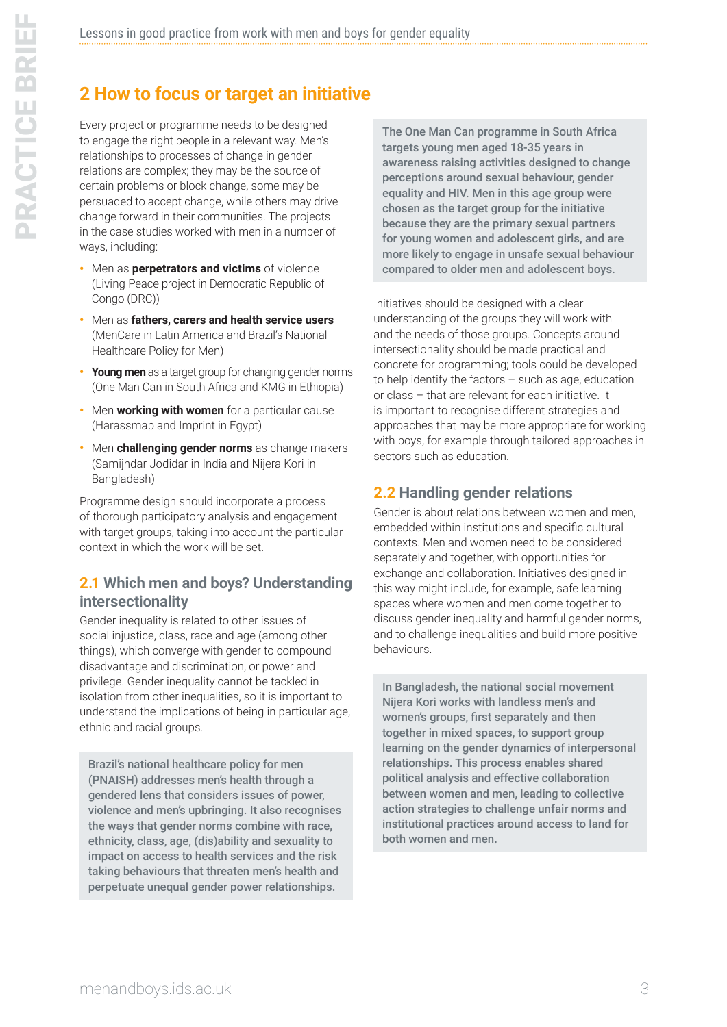# **2 How to focus or target an initiative**

Every project or programme needs to be designed to engage the right people in a relevant way. Men's relationships to processes of change in gender relations are complex; they may be the source of certain problems or block change, some may be persuaded to accept change, while others may drive change forward in their communities. The projects in the case studies worked with men in a number of ways, including:

- Men as **perpetrators and victims** of violence (Living Peace project in Democratic Republic of Congo (DRC))
- Men as **fathers, carers and health service users** (MenCare in Latin America and Brazil's National Healthcare Policy for Men)
- **Young men** as a target group for changing gender norms (One Man Can in South Africa and KMG in Ethiopia)
- Men **working with women** for a particular cause (Harassmap and Imprint in Egypt)
- Men **challenging gender norms** as change makers (Samijhdar Jodidar in India and Nijera Kori in Bangladesh)

Programme design should incorporate a process of thorough participatory analysis and engagement with target groups, taking into account the particular context in which the work will be set.

## **2.1 Which men and boys? Understanding intersectionality**

Gender inequality is related to other issues of social injustice, class, race and age (among other things), which converge with gender to compound disadvantage and discrimination, or power and privilege. Gender inequality cannot be tackled in isolation from other inequalities, so it is important to understand the implications of being in particular age, ethnic and racial groups.

Brazil's national healthcare policy for men (PNAISH) addresses men's health through a gendered lens that considers issues of power, violence and men's upbringing. It also recognises the ways that gender norms combine with race, ethnicity, class, age, (dis)ability and sexuality to impact on access to health services and the risk taking behaviours that threaten men's health and perpetuate unequal gender power relationships.

The One Man Can programme in South Africa targets young men aged 18-35 years in awareness raising activities designed to change perceptions around sexual behaviour, gender equality and HIV. Men in this age group were chosen as the target group for the initiative because they are the primary sexual partners for young women and adolescent girls, and are more likely to engage in unsafe sexual behaviour compared to older men and adolescent boys.

Initiatives should be designed with a clear understanding of the groups they will work with and the needs of those groups. Concepts around intersectionality should be made practical and concrete for programming; tools could be developed to help identify the factors – such as age, education or class – that are relevant for each initiative. It is important to recognise different strategies and approaches that may be more appropriate for working with boys, for example through tailored approaches in sectors such as education.

## **2.2 Handling gender relations**

Gender is about relations between women and men, embedded within institutions and specific cultural contexts. Men and women need to be considered separately and together, with opportunities for exchange and collaboration. Initiatives designed in this way might include, for example, safe learning spaces where women and men come together to discuss gender inequality and harmful gender norms, and to challenge inequalities and build more positive behaviours.

In Bangladesh, the national social movement Nijera Kori works with landless men's and women's groups, first separately and then together in mixed spaces, to support group learning on the gender dynamics of interpersonal relationships. This process enables shared political analysis and effective collaboration between women and men, leading to collective action strategies to challenge unfair norms and institutional practices around access to land for both women and men.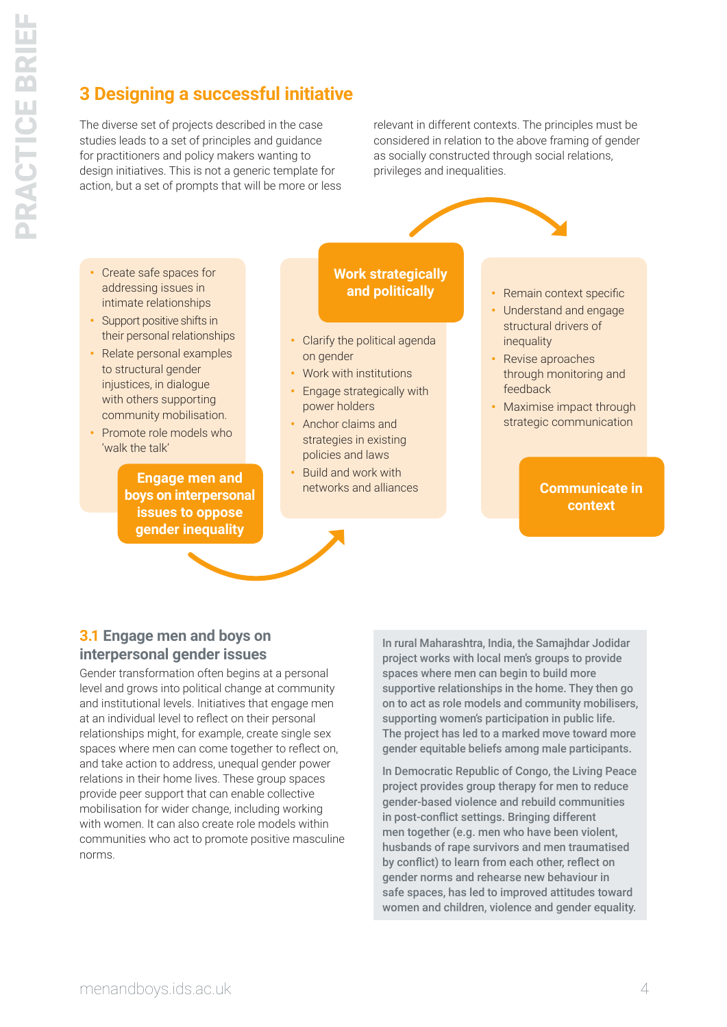# **3 Designing a successful initiative**

The diverse set of projects described in the case studies leads to a set of principles and guidance for practitioners and policy makers wanting to design initiatives. This is not a generic template for action, but a set of prompts that will be more or less relevant in different contexts. The principles must be considered in relation to the above framing of gender as socially constructed through social relations, privileges and inequalities.

- Create safe spaces for addressing issues in intimate relationships
- Support positive shifts in their personal relationships
- Relate personal examples to structural gender injustices, in dialogue with others supporting community mobilisation.
- Promote role models who 'walk the talk'

**Engage men and boys on interpersonal issues to oppose gender inequality**

## **Work strategically and politically**

- Clarify the political agenda on gender
- Work with institutions
- Engage strategically with power holders
- Anchor claims and strategies in existing policies and laws
- Build and work with networks and alliances
- Remain context specific
- Understand and engage structural drivers of inequality
- Revise aproaches through monitoring and feedback
- Maximise impact through strategic communication

## **Communicate in context**

## **3.1 Engage men and boys on interpersonal gender issues**

Gender transformation often begins at a personal level and grows into political change at community and institutional levels. Initiatives that engage men at an individual level to reflect on their personal relationships might, for example, create single sex spaces where men can come together to reflect on, and take action to address, unequal gender power relations in their home lives. These group spaces provide peer support that can enable collective mobilisation for wider change, including working with women. It can also create role models within communities who act to promote positive masculine norms.

In rural Maharashtra, India, the Samajhdar Jodidar project works with local men's groups to provide spaces where men can begin to build more supportive relationships in the home. They then go on to act as role models and community mobilisers, supporting women's participation in public life. The project has led to a marked move toward more gender equitable beliefs among male participants.

In Democratic Republic of Congo, the Living Peace project provides group therapy for men to reduce gender-based violence and rebuild communities in post-conflict settings. Bringing different men together (e.g. men who have been violent, husbands of rape survivors and men traumatised by conflict) to learn from each other, reflect on gender norms and rehearse new behaviour in safe spaces, has led to improved attitudes toward women and children, violence and gender equality.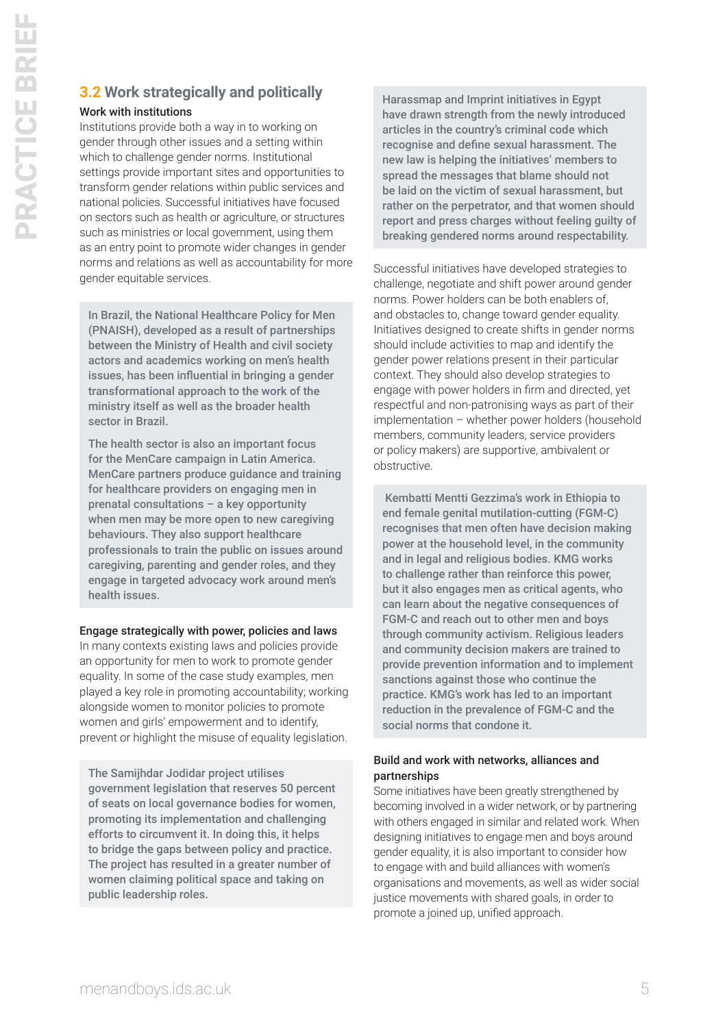## **3.2 Work strategically and politically**

#### Work with institutions

Institutions provide both a way in to working on gender through other issues and a setting within which to challenge gender norms. Institutional settings provide important sites and opportunities to transform gender relations within public services and national policies. Successful initiatives have focused on sectors such as health or agriculture, or structures such as ministries or local government, using them as an entry point to promote wider changes in gender norms and relations as well as accountability for more gender equitable services.

In Brazil, the National Healthcare Policy for Men (PNAISH), developed as a result of partnerships between the Ministry of Health and civil society actors and academics working on men's health issues, has been influential in bringing a gender transformational approach to the work of the ministry itself as well as the broader health sector in Brazil.

The health sector is also an important focus for the MenCare campaign in Latin America. MenCare partners produce guidance and training for healthcare providers on engaging men in prenatal consultations – a key opportunity when men may be more open to new caregiving behaviours. They also support healthcare professionals to train the public on issues around caregiving, parenting and gender roles, and they engage in targeted advocacy work around men's health issues.

#### Engage strategically with power, policies and laws

In many contexts existing laws and policies provide an opportunity for men to work to promote gender equality. In some of the case study examples, men played a key role in promoting accountability; working alongside women to monitor policies to promote women and girls' empowerment and to identify, prevent or highlight the misuse of equality legislation.

The Samijhdar Jodidar project utilises government legislation that reserves 50 percent of seats on local governance bodies for women, promoting its implementation and challenging efforts to circumvent it. In doing this, it helps to bridge the gaps between policy and practice. The project has resulted in a greater number of women claiming political space and taking on public leadership roles.

Harassmap and Imprint initiatives in Egypt have drawn strength from the newly introduced articles in the country's criminal code which recognise and define sexual harassment. The new law is helping the initiatives' members to spread the messages that blame should not be laid on the victim of sexual harassment, but rather on the perpetrator, and that women should report and press charges without feeling guilty of breaking gendered norms around respectability.

Successful initiatives have developed strategies to challenge, negotiate and shift power around gender norms. Power holders can be both enablers of, and obstacles to, change toward gender equality. Initiatives designed to create shifts in gender norms should include activities to map and identify the gender power relations present in their particular context. They should also develop strategies to engage with power holders in firm and directed, yet respectful and non-patronising ways as part of their implementation – whether power holders (household members, community leaders, service providers or policy makers) are supportive, ambivalent or obstructive.

 Kembatti Mentti Gezzima's work in Ethiopia to end female genital mutilation-cutting (FGM-C) recognises that men often have decision making power at the household level, in the community and in legal and religious bodies. KMG works to challenge rather than reinforce this power, but it also engages men as critical agents, who can learn about the negative consequences of FGM-C and reach out to other men and boys through community activism. Religious leaders and community decision makers are trained to provide prevention information and to implement sanctions against those who continue the practice. KMG's work has led to an important reduction in the prevalence of FGM-C and the social norms that condone it.

## Build and work with networks, alliances and partnerships

Some initiatives have been greatly strengthened by becoming involved in a wider network, or by partnering with others engaged in similar and related work. When designing initiatives to engage men and boys around gender equality, it is also important to consider how to engage with and build alliances with women's organisations and movements, as well as wider social justice movements with shared goals, in order to promote a joined up, unified approach.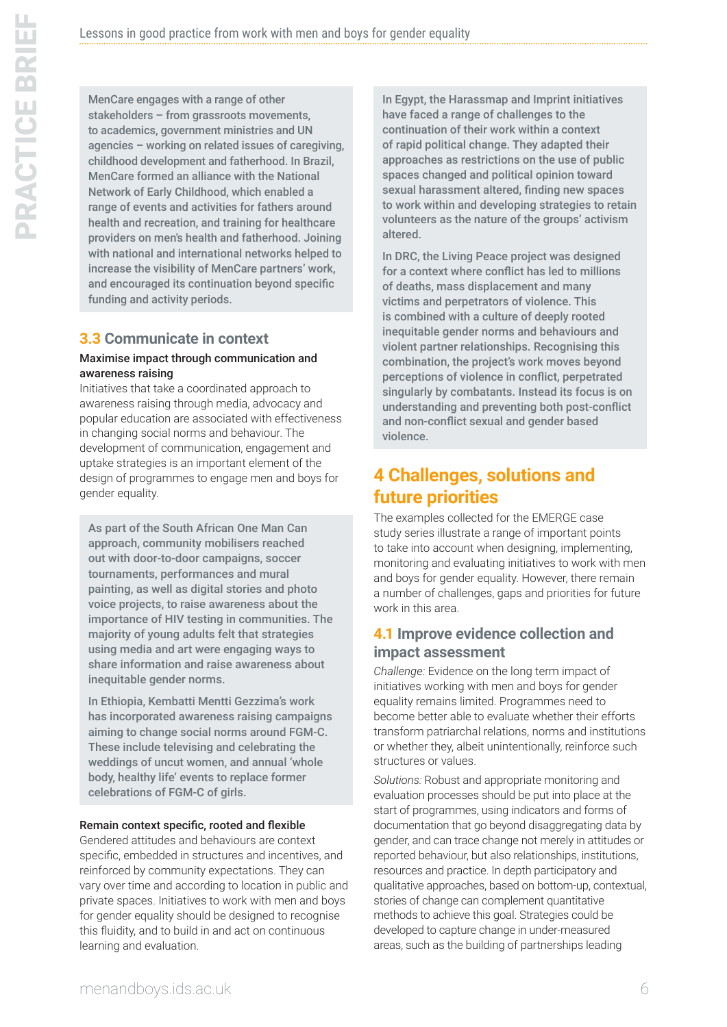MenCare engages with a range of other stakeholders – from grassroots movements, to academics, government ministries and UN agencies – working on related issues of caregiving, childhood development and fatherhood. In Brazil, MenCare formed an alliance with the National Network of Early Childhood, which enabled a range of events and activities for fathers around health and recreation, and training for healthcare providers on men's health and fatherhood. Joining with national and international networks helped to increase the visibility of MenCare partners' work, and encouraged its continuation beyond specific funding and activity periods.

# **3.3 Communicate in context**

#### Maximise impact through communication and awareness raising

Initiatives that take a coordinated approach to awareness raising through media, advocacy and popular education are associated with effectiveness in changing social norms and behaviour. The development of communication, engagement and uptake strategies is an important element of the design of programmes to engage men and boys for gender equality.

As part of the South African One Man Can approach, community mobilisers reached out with door-to-door campaigns, soccer tournaments, performances and mural painting, as well as digital stories and photo voice projects, to raise awareness about the importance of HIV testing in communities. The majority of young adults felt that strategies using media and art were engaging ways to share information and raise awareness about inequitable gender norms.

In Ethiopia, Kembatti Mentti Gezzima's work has incorporated awareness raising campaigns aiming to change social norms around FGM-C. These include televising and celebrating the weddings of uncut women, and annual 'whole body, healthy life' events to replace former celebrations of FGM-C of girls.

#### Remain context specific, rooted and flexible

Gendered attitudes and behaviours are context specific, embedded in structures and incentives, and reinforced by community expectations. They can vary over time and according to location in public and private spaces. Initiatives to work with men and boys for gender equality should be designed to recognise this fluidity, and to build in and act on continuous learning and evaluation.

In Egypt, the Harassmap and Imprint initiatives have faced a range of challenges to the continuation of their work within a context of rapid political change. They adapted their approaches as restrictions on the use of public spaces changed and political opinion toward sexual harassment altered, finding new spaces to work within and developing strategies to retain volunteers as the nature of the groups' activism altered.

In DRC, the Living Peace project was designed for a context where conflict has led to millions of deaths, mass displacement and many victims and perpetrators of violence. This is combined with a culture of deeply rooted inequitable gender norms and behaviours and violent partner relationships. Recognising this combination, the project's work moves beyond perceptions of violence in conflict, perpetrated singularly by combatants. Instead its focus is on understanding and preventing both post-conflict and non-conflict sexual and gender based violence.

## **4 Challenges, solutions and future priorities**

The examples collected for the EMERGE case study series illustrate a range of important points to take into account when designing, implementing, monitoring and evaluating initiatives to work with men and boys for gender equality. However, there remain a number of challenges, gaps and priorities for future work in this area.

## **4.1 Improve evidence collection and impact assessment**

*Challenge:* Evidence on the long term impact of initiatives working with men and boys for gender equality remains limited. Programmes need to become better able to evaluate whether their efforts transform patriarchal relations, norms and institutions or whether they, albeit unintentionally, reinforce such structures or values.

*Solutions:* Robust and appropriate monitoring and evaluation processes should be put into place at the start of programmes, using indicators and forms of documentation that go beyond disaggregating data by gender, and can trace change not merely in attitudes or reported behaviour, but also relationships, institutions, resources and practice. In depth participatory and qualitative approaches, based on bottom-up, contextual, stories of change can complement quantitative methods to achieve this goal. Strategies could be developed to capture change in under-measured areas, such as the building of partnerships leading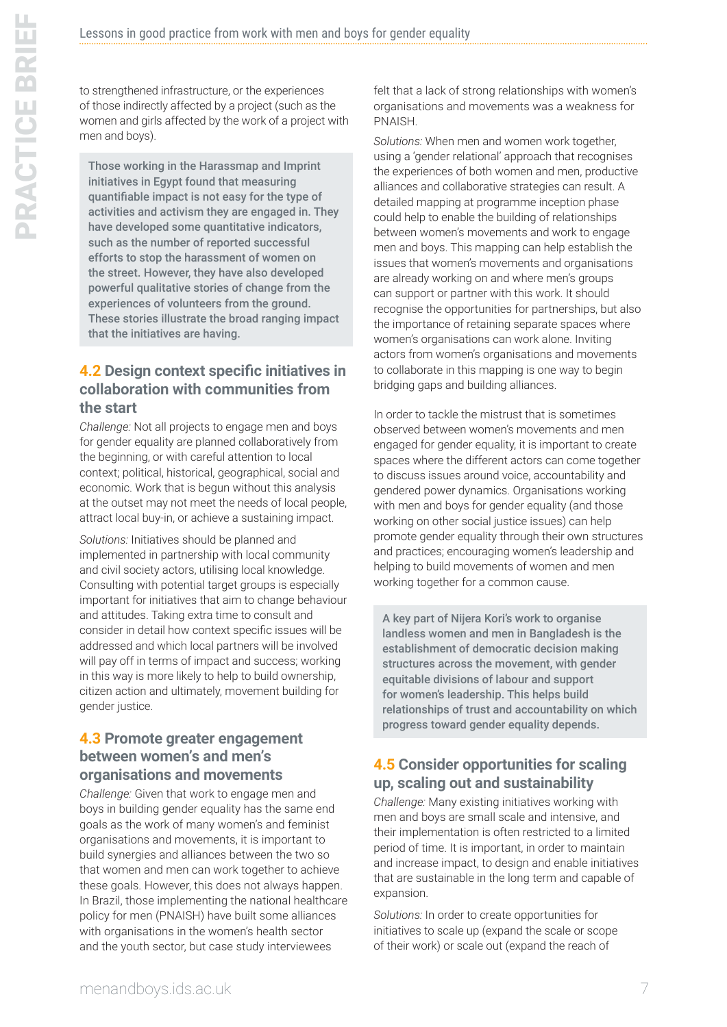to strengthened infrastructure, or the experiences of those indirectly affected by a project (such as the women and girls affected by the work of a project with men and boys).

Those working in the Harassmap and Imprint initiatives in Egypt found that measuring quantifiable impact is not easy for the type of activities and activism they are engaged in. They have developed some quantitative indicators, such as the number of reported successful efforts to stop the harassment of women on the street. However, they have also developed powerful qualitative stories of change from the experiences of volunteers from the ground. These stories illustrate the broad ranging impact that the initiatives are having.

## **4.2 Design context specific initiatives in collaboration with communities from the start**

*Challenge:* Not all projects to engage men and boys for gender equality are planned collaboratively from the beginning, or with careful attention to local context; political, historical, geographical, social and economic. Work that is begun without this analysis at the outset may not meet the needs of local people, attract local buy-in, or achieve a sustaining impact.

*Solutions:* Initiatives should be planned and implemented in partnership with local community and civil society actors, utilising local knowledge. Consulting with potential target groups is especially important for initiatives that aim to change behaviour and attitudes. Taking extra time to consult and consider in detail how context specific issues will be addressed and which local partners will be involved will pay off in terms of impact and success; working in this way is more likely to help to build ownership, citizen action and ultimately, movement building for gender justice.

## **4.3 Promote greater engagement between women's and men's organisations and movements**

*Challenge:* Given that work to engage men and boys in building gender equality has the same end goals as the work of many women's and feminist organisations and movements, it is important to build synergies and alliances between the two so that women and men can work together to achieve these goals. However, this does not always happen. In Brazil, those implementing the national healthcare policy for men (PNAISH) have built some alliances with organisations in the women's health sector and the youth sector, but case study interviewees

felt that a lack of strong relationships with women's organisations and movements was a weakness for PNAISH.

*Solutions:* When men and women work together, using a 'gender relational' approach that recognises the experiences of both women and men, productive alliances and collaborative strategies can result. A detailed mapping at programme inception phase could help to enable the building of relationships between women's movements and work to engage men and boys. This mapping can help establish the issues that women's movements and organisations are already working on and where men's groups can support or partner with this work. It should recognise the opportunities for partnerships, but also the importance of retaining separate spaces where women's organisations can work alone. Inviting actors from women's organisations and movements to collaborate in this mapping is one way to begin bridging gaps and building alliances.

In order to tackle the mistrust that is sometimes observed between women's movements and men engaged for gender equality, it is important to create spaces where the different actors can come together to discuss issues around voice, accountability and gendered power dynamics. Organisations working with men and boys for gender equality (and those working on other social justice issues) can help promote gender equality through their own structures and practices; encouraging women's leadership and helping to build movements of women and men working together for a common cause.

A key part of Nijera Kori's work to organise landless women and men in Bangladesh is the establishment of democratic decision making structures across the movement, with gender equitable divisions of labour and support for women's leadership. This helps build relationships of trust and accountability on which progress toward gender equality depends.

## **4.5 Consider opportunities for scaling up, scaling out and sustainability**

*Challenge:* Many existing initiatives working with men and boys are small scale and intensive, and their implementation is often restricted to a limited period of time. It is important, in order to maintain and increase impact, to design and enable initiatives that are sustainable in the long term and capable of expansion.

*Solutions:* In order to create opportunities for initiatives to scale up (expand the scale or scope of their work) or scale out (expand the reach of